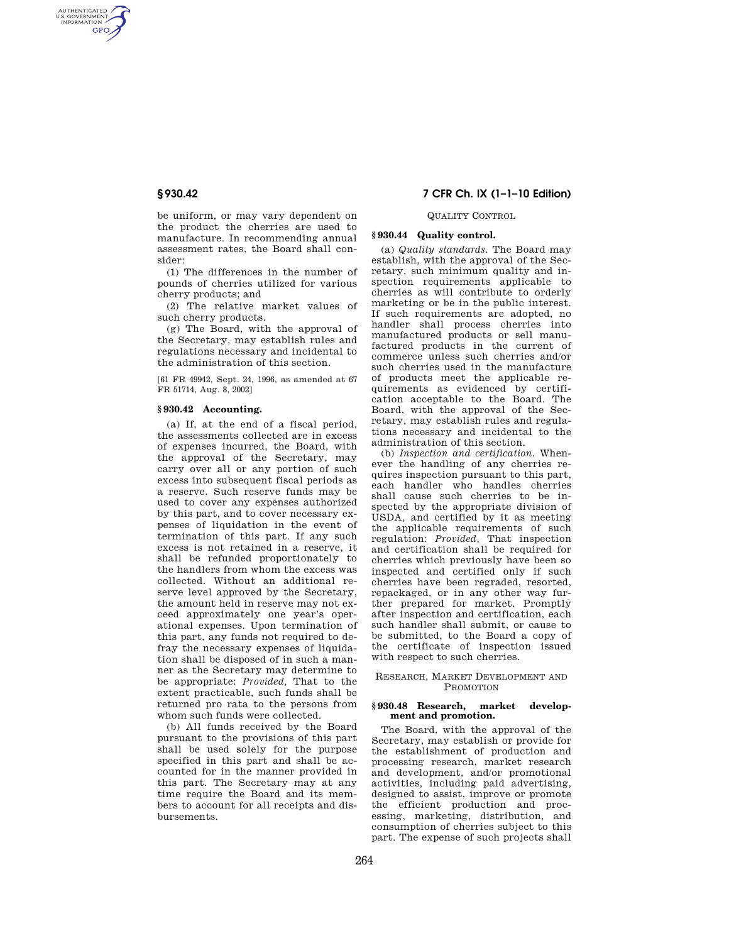AUTHENTICATED<br>U.S. GOVERNMENT<br>INFORMATION **GPO** 

> be uniform, or may vary dependent on the product the cherries are used to manufacture. In recommending annual assessment rates, the Board shall consider:

> (1) The differences in the number of pounds of cherries utilized for various cherry products; and

> (2) The relative market values of such cherry products.

> (g) The Board, with the approval of the Secretary, may establish rules and regulations necessary and incidental to the administration of this section.

> [61 FR 49942, Sept. 24, 1996, as amended at 67 FR 51714, Aug. 8, 2002]

# **§ 930.42 Accounting.**

(a) If, at the end of a fiscal period, the assessments collected are in excess of expenses incurred, the Board, with the approval of the Secretary, may carry over all or any portion of such excess into subsequent fiscal periods as a reserve. Such reserve funds may be used to cover any expenses authorized by this part, and to cover necessary expenses of liquidation in the event of termination of this part. If any such excess is not retained in a reserve, it shall be refunded proportionately to the handlers from whom the excess was collected. Without an additional reserve level approved by the Secretary, the amount held in reserve may not exceed approximately one year's operational expenses. Upon termination of this part, any funds not required to defray the necessary expenses of liquidation shall be disposed of in such a manner as the Secretary may determine to be appropriate: *Provided,* That to the extent practicable, such funds shall be returned pro rata to the persons from whom such funds were collected.

(b) All funds received by the Board pursuant to the provisions of this part shall be used solely for the purpose specified in this part and shall be accounted for in the manner provided in this part. The Secretary may at any time require the Board and its members to account for all receipts and disbursements.

# **§ 930.42 7 CFR Ch. IX (1–1–10 Edition)**

# QUALITY CONTROL

# **§ 930.44 Quality control.**

(a) *Quality standards.* The Board may establish, with the approval of the Secretary, such minimum quality and inspection requirements applicable to cherries as will contribute to orderly marketing or be in the public interest. If such requirements are adopted, no handler shall process cherries into manufactured products or sell manufactured products in the current of commerce unless such cherries and/or such cherries used in the manufacture of products meet the applicable requirements as evidenced by certification acceptable to the Board. The Board, with the approval of the Secretary, may establish rules and regulations necessary and incidental to the administration of this section.

(b) *Inspection and certification.* Whenever the handling of any cherries requires inspection pursuant to this part, each handler who handles cherries shall cause such cherries to be inspected by the appropriate division of USDA, and certified by it as meeting the applicable requirements of such regulation: *Provided,* That inspection and certification shall be required for cherries which previously have been so inspected and certified only if such cherries have been regraded, resorted, repackaged, or in any other way further prepared for market. Promptly after inspection and certification, each such handler shall submit, or cause to be submitted, to the Board a copy of the certificate of inspection issued with respect to such cherries.

### RESEARCH, MARKET DEVELOPMENT AND PROMOTION

#### **§ 930.48 Research, market development and promotion.**

The Board, with the approval of the Secretary, may establish or provide for the establishment of production and processing research, market research and development, and/or promotional activities, including paid advertising, designed to assist, improve or promote the efficient production and processing, marketing, distribution, and consumption of cherries subject to this part. The expense of such projects shall